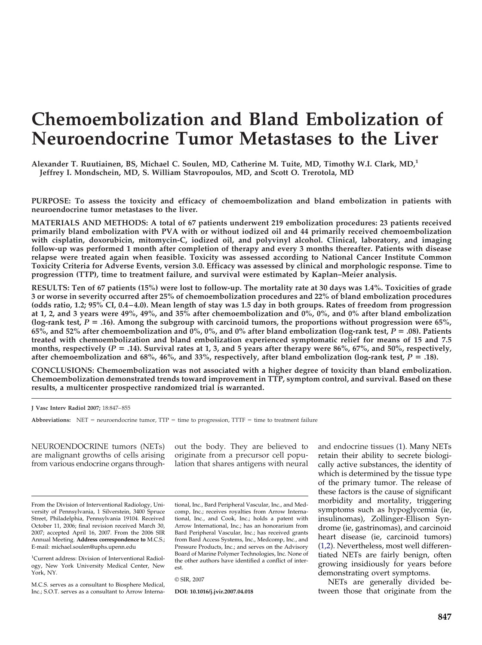# **Chemoembolization and Bland Embolization of Neuroendocrine Tumor Metastases to the Liver**

**Alexander T. Ruutiainen, BS, Michael C. Soulen, MD, Catherine M. Tuite, MD, Timothy W.I. Clark, MD,1 Jeffrey I. Mondschein, MD, S. William Stavropoulos, MD, and Scott O. Trerotola, MD**

**PURPOSE: To assess the toxicity and efficacy of chemoembolization and bland embolization in patients with neuroendocrine tumor metastases to the liver.**

**MATERIALS AND METHODS: A total of 67 patients underwent 219 embolization procedures: 23 patients received primarily bland embolization with PVA with or without iodized oil and 44 primarily received chemoembolization with cisplatin, doxorubicin, mitomycin-C, iodized oil, and polyvinyl alcohol. Clinical, laboratory, and imaging follow-up was performed 1 month after completion of therapy and every 3 months thereafter. Patients with disease relapse were treated again when feasible. Toxicity was assessed according to National Cancer Institute Common Toxicity Criteria for Adverse Events, version 3.0. Efficacy was assessed by clinical and morphologic response. Time to progression (TTP), time to treatment failure, and survival were estimated by Kaplan–Meier analysis.**

**RESULTS: Ten of 67 patients (15%) were lost to follow-up. The mortality rate at 30 days was 1.4%. Toxicities of grade 3 or worse in severity occurred after 25% of chemoembolization procedures and 22% of bland embolization procedures (odds ratio, 1.2; 95% CI, 0.4 – 4.0). Mean length of stay was 1.5 day in both groups. Rates of freedom from progression at 1, 2, and 3 years were 49%, 49%, and 35% after chemoembolization and 0%, 0%, and 0% after bland embolization (log-rank test,** *P* **.16). Among the subgroup with carcinoid tumors, the proportions without progression were 65%, 65%, and 52% after chemoembolization and 0%, 0%, and 0% after bland embolization (log-rank test,** *P* **.08). Patients treated with chemoembolization and bland embolization experienced symptomatic relief for means of 15 and 7.5 months, respectively (***P* **.14). Survival rates at 1, 3, and 5 years after therapy were 86%, 67%, and 50%, respectively,** after chemoembolization and 68%, 46%, and 33%, respectively, after bland embolization (log-rank test,  $P = .18$ ).

**CONCLUSIONS: Chemoembolization was not associated with a higher degree of toxicity than bland embolization. Chemoembolization demonstrated trends toward improvement in TTP, symptom control, and survival. Based on these results, a multicenter prospective randomized trial is warranted.**

**J Vasc Interv Radiol 2007;** 18:847– 855

Abbreviations:  $NET =$  neuroendocrine tumor,  $TTP =$  time to progression,  $TTTF =$  time to treatment failure

NEUROENDOCRINE tumors (NETs) are malignant growths of cells arising from various endocrine organs through-

out the body. They are believed to originate from a precursor cell population that shares antigens with neural

From the Division of Interventional Radiology, University of Pennsylvania, 1 Silverstein, 3400 Spruce Street, Philadelphia, Pennsylvania 19104. Received October 11, 2006; final revision received March 30, 2007; accepted April 16, 2007. From the 2006 SIR Annual Meeting. **Address correspondence to** M.C.S.; E-mail: michael.soulen@uphs.upenn.edu

1 Current address: Division of Interventional Radiology, New York University Medical Center, New York, NY.

M.C.S. serves as a consultant to Biosphere Medical, Inc.; S.O.T. serves as a consultant to Arrow Interna-

tional, Inc., Bard Peripheral Vascular, Inc., and Medcomp, Inc.; receives royalties from Arrow International, Inc., and Cook, Inc.; holds a patent with Arrow International, Inc.; has an honorarium from Bard Peripheral Vascular, Inc.; has received grants from Bard Access Systems, Inc., Medcomp, Inc., and Pressure Products, Inc.; and serves on the Advisory Board of Marine Polymer Technologies, Inc. None of the other authors have identified a conflict of interest.

© SIR, 2007

**DOI: 10.1016/j.jvir.2007.04.018**

and endocrine tissues [\(1\)](#page-7-0). Many NETs retain their ability to secrete biologically active substances, the identity of which is determined by the tissue type of the primary tumor. The release of these factors is the cause of significant morbidity and mortality, triggering symptoms such as hypoglycemia (ie, insulinomas), Zollinger-Ellison Syndrome (ie, gastrinomas), and carcinoid heart disease (ie, carcinoid tumors) [\(1,2\)](#page-7-0). Nevertheless, most well differentiated NETs are fairly benign, often growing insidiously for years before demonstrating overt symptoms.

NETs are generally divided between those that originate from the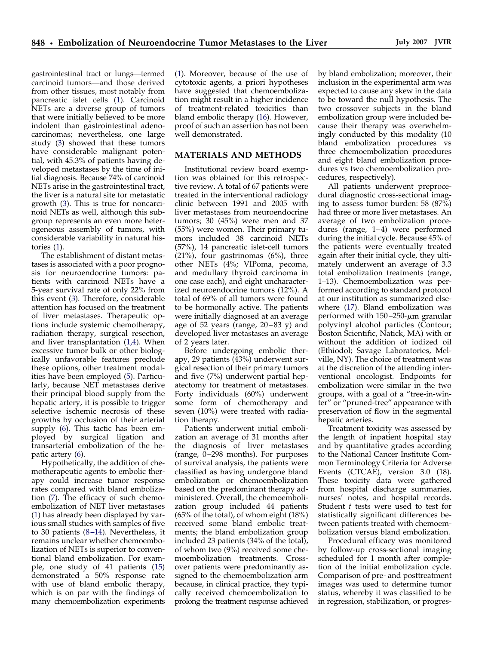gastrointestinal tract or lungs—termed carcinoid tumors—and those derived from other tissues, most notably from pancreatic islet cells [\(1\)](#page-7-0). Carcinoid NETs are a diverse group of tumors that were initially believed to be more indolent than gastrointestinal adenocarcinomas; nevertheless, one large study [\(3\)](#page-7-0) showed that these tumors have considerable malignant potential, with 45.3% of patients having developed metastases by the time of initial diagnosis. Because 74% of carcinoid NETs arise in the gastrointestinal tract, the liver is a natural site for metastatic growth [\(3\)](#page-7-0). This is true for noncarcinoid NETs as well, although this subgroup represents an even more heterogeneous assembly of tumors, with considerable variability in natural histories [\(1\)](#page-7-0).

The establishment of distant metastases is associated with a poor prognosis for neuroendocrine tumors: patients with carcinoid NETs have a 5-year survival rate of only 22% from this event [\(3\)](#page-7-0). Therefore, considerable attention has focused on the treatment of liver metastases. Therapeutic options include systemic chemotherapy, radiation therapy, surgical resection, and liver transplantation [\(1,4\)](#page-7-0). When excessive tumor bulk or other biologically unfavorable features preclude these options, other treatment modalities have been employed [\(5\)](#page-7-0). Particularly, because NET metastases derive their principal blood supply from the hepatic artery, it is possible to trigger selective ischemic necrosis of these growths by occlusion of their arterial supply [\(6\)](#page-7-0). This tactic has been employed by surgical ligation and transarterial embolization of the hepatic artery [\(6\)](#page-7-0).

Hypothetically, the addition of chemotherapeutic agents to embolic therapy could increase tumor response rates compared with bland embolization [\(7\)](#page-7-0). The efficacy of such chemoembolization of NET liver metastases [\(1\)](#page-7-0) has already been displayed by various small studies with samples of five to 30 patients  $(8-14)$ . Nevertheless, it remains unclear whether chemoembolization of NETs is superior to conventional bland embolization. For example, one study of 41 patients [\(15\)](#page-8-0) demonstrated a 50% response rate with use of bland embolic therapy, which is on par with the findings of many chemoembolization experiments

[\(1\)](#page-7-0). Moreover, because of the use of cytotoxic agents, a priori hypotheses have suggested that chemoembolization might result in a higher incidence of treatment-related toxicities than bland embolic therapy [\(16\)](#page-8-0). However, proof of such an assertion has not been well demonstrated.

## **MATERIALS AND METHODS**

Institutional review board exemption was obtained for this retrospective review. A total of 67 patients were treated in the interventional radiology clinic between 1991 and 2005 with liver metastases from neuroendocrine tumors; 30 (45%) were men and 37 (55%) were women. Their primary tumors included 38 carcinoid NETs (57%), 14 pancreatic islet-cell tumors  $(21\%)$ , four gastrinomas  $(6\%)$ , three other NETs (4%; VIPoma, pecoma, and medullary thyroid carcinoma in one case each), and eight uncharacterized neuroendocrine tumors (12%). A total of 69% of all tumors were found to be hormonally active. The patients were initially diagnosed at an average age of 52 years (range, 20-83 y) and developed liver metastases an average of 2 years later.

Before undergoing embolic therapy, 29 patients  $(43%)$  underwent surgical resection of their primary tumors and five (7%) underwent partial hepatectomy for treatment of metastases. Forty individuals (60%) underwent some form of chemotherapy and seven (10%) were treated with radiation therapy.

Patients underwent initial embolization an average of 31 months after the diagnosis of liver metastases (range, 0 –298 months). For purposes of survival analysis, the patients were classified as having undergone bland embolization or chemoembolization based on the predominant therapy administered. Overall, the chemoembolization group included 44 patients  $(65\% \text{ of the total})$ , of whom eight  $(18\%)$ received some bland embolic treatments; the bland embolization group included 23 patients (34% of the total), of whom two (9%) received some chemoembolization treatments. Crossover patients were predominantly assigned to the chemoembolization arm because, in clinical practice, they typically received chemoembolization to prolong the treatment response achieved by bland embolization; moreover, their inclusion in the experimental arm was expected to cause any skew in the data to be toward the null hypothesis. The two crossover subjects in the bland embolization group were included because their therapy was overwhelmingly conducted by this modality (10 bland embolization procedures vs three chemoembolization procedures and eight bland embolization procedures vs two chemoembolization procedures, respectively).

All patients underwent preprocedural diagnostic cross-sectional imaging to assess tumor burden: 58 (87%) had three or more liver metastases. An average of two embolization procedures (range, 1–4) were performed during the initial cycle. Because 45% of the patients were eventually treated again after their initial cycle, they ultimately underwent an average of 3.3 total embolization treatments (range, 1–13). Chemoembolization was performed according to standard protocol at our institution as summarized elsewhere [\(17\)](#page-8-0). Bland embolization was performed with  $150 - 250$ - $\mu$ m granular polyvinyl alcohol particles (Contour; Boston Scientific, Natick, MA) with or without the addition of iodized oil (Ethiodol; Savage Laboratories, Melville, NY). The choice of treatment was at the discretion of the attending interventional oncologist. Endpoints for embolization were similar in the two groups, with a goal of a "tree-in-winter" or "pruned-tree" appearance with preservation of flow in the segmental hepatic arteries.

Treatment toxicity was assessed by the length of inpatient hospital stay and by quantitative grades according to the National Cancer Institute Common Terminology Criteria for Adverse Events (CTCAE), version 3.0 (18). These toxicity data were gathered from hospital discharge summaries, nurses' notes, and hospital records. Student *t* tests were used to test for statistically significant differences between patients treated with chemoembolization versus bland embolization.

Procedural efficacy was monitored by follow-up cross-sectional imaging scheduled for 1 month after completion of the initial embolization cycle. Comparison of pre- and posttreatment images was used to determine tumor status, whereby it was classified to be in regression, stabilization, or progres-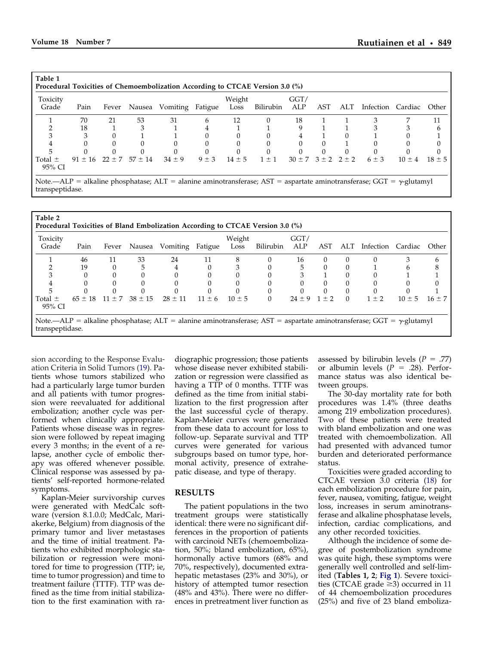| Table 1<br>Procedural Toxicities of Chemoembolization According to CTCAE Version 3.0 (%) |             |       |                        |                                                                                                                                                                 |           |                |           |                                |          |          |                   |            |            |
|------------------------------------------------------------------------------------------|-------------|-------|------------------------|-----------------------------------------------------------------------------------------------------------------------------------------------------------------|-----------|----------------|-----------|--------------------------------|----------|----------|-------------------|------------|------------|
| Toxicity<br>Grade                                                                        | Pain        | Fever |                        | Nausea Vomiting Fatigue                                                                                                                                         |           | Weight<br>Loss | Bilirubin | GGT/<br>ALP                    | AST      | ALT      | Infection Cardiac |            | Other      |
|                                                                                          | 70          | 21    | 53                     | 31                                                                                                                                                              | 6         | 12             | $\Omega$  | 18                             |          |          |                   |            |            |
|                                                                                          | 18          |       |                        |                                                                                                                                                                 |           |                |           | Q                              |          |          |                   |            |            |
|                                                                                          |             |       |                        |                                                                                                                                                                 |           |                |           |                                |          | $\Omega$ |                   |            |            |
|                                                                                          |             |       |                        |                                                                                                                                                                 |           |                |           |                                |          |          |                   |            |            |
|                                                                                          |             |       |                        |                                                                                                                                                                 |           |                |           |                                | $\Omega$ |          |                   |            |            |
| $Total \pm$<br>95% CI                                                                    | $91 \pm 16$ |       | $22 \pm 7$ 57 $\pm$ 14 | $34 \pm 9$                                                                                                                                                      | $9 \pm 3$ | $14 \pm 5$     | $1 \pm 1$ | $30 \pm 7$ $3 \pm 2$ $2 \pm 2$ |          |          | $6 \pm 3$         | $10 \pm 4$ | $18 \pm 5$ |
|                                                                                          |             |       |                        | $\mathcal{M}$ at $\mathcal{D}$ . The contract $\mathcal{M}$ is the contract of $\mathcal{D}$ of $\mathcal{D}$ is the contract of $\mathcal{D}$ of $\mathcal{D}$ |           |                |           |                                |          |          |                   | -1. 1      |            |

Note.—ALP = alkaline phosphatase; ALT = alanine aminotransferase; AST = aspartate aminotransferase; GGT =  $\gamma$ -glutamyl transpeptidase.

| Toxicity<br>Grade     | Pain        | Fever | Nausea                 | Vomiting Fatigue |            | Weight<br>Loss | Bilirubin | GGT/<br>ALP | AST      | ALT      | Infection Cardiac |            | Other      |
|-----------------------|-------------|-------|------------------------|------------------|------------|----------------|-----------|-------------|----------|----------|-------------------|------------|------------|
|                       | 46          | 11    | 33                     | 24               | 11         | 8              | 0         | 16          | 0        | $\Omega$ |                   |            |            |
|                       | 19          |       | 5                      |                  |            | 3              |           | 5           |          |          |                   |            |            |
|                       | $\Omega$    |       |                        |                  |            |                |           | 3           |          |          |                   |            |            |
|                       |             |       |                        |                  |            |                |           |             |          |          |                   |            |            |
|                       |             |       |                        |                  |            |                | $\Omega$  |             | $\Omega$ | $\Omega$ |                   |            |            |
| Total $\pm$<br>95% CI | $65 \pm 18$ |       | $11 \pm 7$ 38 $\pm 15$ | $28 \pm 11$      | $11 \pm 6$ | $10 \pm 5$     | $\Omega$  | $24 + 9$    | $1 + 2$  | $\Omega$ | $1 + 2$           | $10 \pm 5$ | $16 \pm 7$ |

sion according to the Response Evaluation Criteria in Solid Tumors [\(19\)](#page-8-0). Patients whose tumors stabilized who had a particularly large tumor burden and all patients with tumor progression were reevaluated for additional embolization; another cycle was performed when clinically appropriate. Patients whose disease was in regression were followed by repeat imaging every 3 months; in the event of a relapse, another cycle of embolic therapy was offered whenever possible. Clinical response was assessed by patients' self-reported hormone-related symptoms.

Kaplan-Meier survivorship curves were generated with MedCalc software (version 8.1.0.0; MedCalc, Mariakerke, Belgium) from diagnosis of the primary tumor and liver metastases and the time of initial treatment. Patients who exhibited morphologic stabilization or regression were monitored for time to progression (TTP; ie, time to tumor progression) and time to treatment failure (TTTF). TTP was defined as the time from initial stabilization to the first examination with ra-

diographic progression; those patients whose disease never exhibited stabilization or regression were classified as having a TTP of 0 months. TTTF was defined as the time from initial stabilization to the first progression after the last successful cycle of therapy. Kaplan-Meier curves were generated from these data to account for loss to follow-up. Separate survival and TTP curves were generated for various subgroups based on tumor type, hormonal activity, presence of extrahepatic disease, and type of therapy.

#### **RESULTS**

The patient populations in the two treatment groups were statistically identical: there were no significant differences in the proportion of patients with carcinoid NETs (chemoembolization, 50%; bland embolization, 65%), hormonally active tumors (68% and 70%, respectively), documented extrahepatic metastases (23% and 30%), or history of attempted tumor resection (48% and 43%). There were no differences in pretreatment liver function as

assessed by bilirubin levels  $(P = .77)$ or albumin levels  $(P = .28)$ . Performance status was also identical between groups.

The 30-day mortality rate for both procedures was 1.4% (three deaths among 219 embolization procedures). Two of these patients were treated with bland embolization and one was treated with chemoembolization. All had presented with advanced tumor burden and deteriorated performance status.

Toxicities were graded according to CTCAE version 3.0 criteria [\(18\)](#page-8-0) for each embolization procedure for pain, fever, nausea, vomiting, fatigue, weight loss, increases in serum aminotransferase and alkaline phosphatase levels, infection, cardiac complications, and any other recorded toxicities.

Although the incidence of some degree of postembolization syndrome was quite high, these symptoms were generally well controlled and self-limited (**Tables 1, 2**; **[Fig 1](#page-3-0)**). Severe toxicities (CTCAE grade  $\geq$ 3) occurred in 11 of 44 chemoembolization procedures (25%) and five of 23 bland emboliza-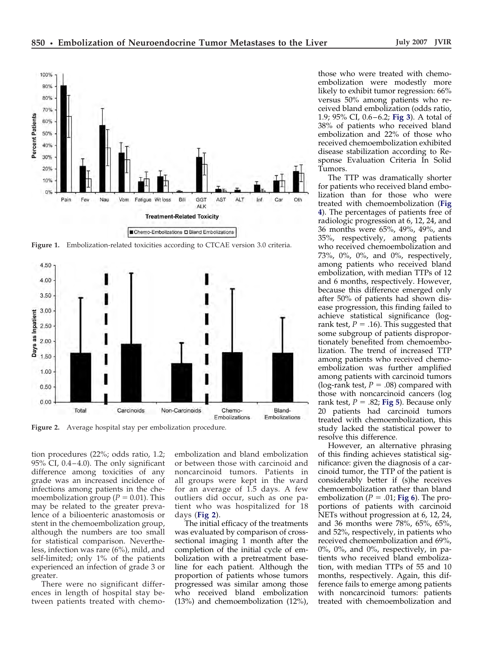<span id="page-3-0"></span>

**Figure 1.** Embolization-related toxicities according to CTCAE version 3.0 criteria.



**Figure 2.** Average hospital stay per embolization procedure.

tion procedures (22%; odds ratio, 1.2;  $95\%$  CI, 0.4–4.0). The only significant difference among toxicities of any grade was an increased incidence of infections among patients in the chemoembolization group ( $P = 0.01$ ). This may be related to the greater prevalence of a bilioenteric anastomosis or stent in the chemoembolization group, although the numbers are too small for statistical comparison. Nevertheless, infection was rare (6%), mild, and self-limited; only 1% of the patients experienced an infection of grade 3 or greater.

There were no significant differences in length of hospital stay between patients treated with chemo-

embolization and bland embolization or between those with carcinoid and noncarcinoid tumors. Patients in all groups were kept in the ward for an average of 1.5 days. A few outliers did occur, such as one patient who was hospitalized for 18 days (**Fig 2**).

The initial efficacy of the treatments was evaluated by comparison of crosssectional imaging 1 month after the completion of the initial cycle of embolization with a pretreatment baseline for each patient. Although the proportion of patients whose tumors progressed was similar among those who received bland embolization (13%) and chemoembolization (12%),

those who were treated with chemoembolization were modestly more likely to exhibit tumor regression: 66% versus 50% among patients who received bland embolization (odds ratio, 1.9; 95% CI, 0.6 – 6.2; **[Fig 3](#page-4-0)**). A total of 38% of patients who received bland embolization and 22% of those who received chemoembolization exhibited disease stabilization according to Response Evaluation Criteria In Solid Tumors.

The TTP was dramatically shorter for patients who received bland embolization than for those who were treated with chemoembolization (**[Fig](#page-4-0) [4](#page-4-0)**). The percentages of patients free of radiologic progression at 6, 12, 24, and 36 months were 65%, 49%, 49%, and 35%, respectively, among patients who received chemoembolization and 73%, 0%, 0%, and 0%, respectively, among patients who received bland embolization, with median TTPs of 12 and 6 months, respectively. However, because this difference emerged only after 50% of patients had shown disease progression, this finding failed to achieve statistical significance (logrank test,  $P = .16$ ). This suggested that some subgroup of patients disproportionately benefited from chemoembolization. The trend of increased TTP among patients who received chemoembolization was further amplified among patients with carcinoid tumors (log-rank test,  $P = .08$ ) compared with those with noncarcinoid cancers (log rank test,  $P = .82$ ; **[Fig 5](#page-5-0)**). Because only 20 patients had carcinoid tumors treated with chemoembolization, this study lacked the statistical power to resolve this difference.

However, an alternative phrasing of this finding achieves statistical significance: given the diagnosis of a carcinoid tumor, the TTP of the patient is considerably better if (s)he receives chemoembolization rather than bland embolization ( $P = .01$ ; [Fig 6](#page-5-0)). The proportions of patients with carcinoid NETs without progression at 6, 12, 24, and 36 months were 78%, 65%, 65%, and 52%, respectively, in patients who received chemoembolization and 69%, 0%, 0%, and 0%, respectively, in patients who received bland embolization, with median TTPs of 55 and 10 months, respectively. Again, this difference fails to emerge among patients with noncarcinoid tumors: patients treated with chemoembolization and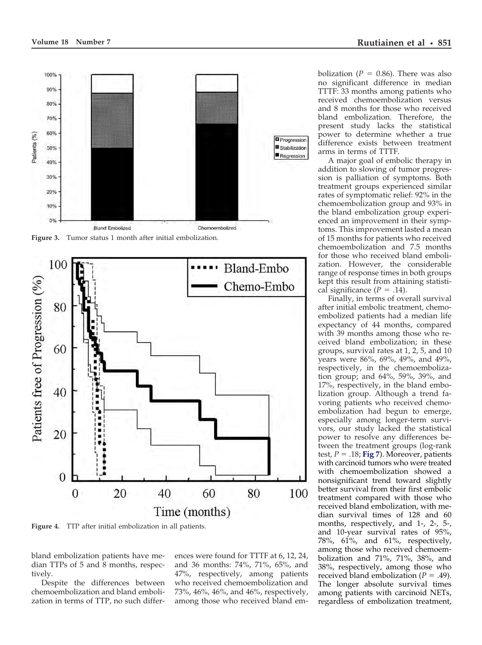<span id="page-4-0"></span>

**Figure 3.** Tumor status 1 month after initial embolization.



**Figure 4.** TTP after initial embolization in all patients.

bland embolization patients have median TTPs of 5 and 8 months, respectively.

Despite the differences between chemoembolization and bland embolization in terms of TTP, no such differences were found for TTTF at 6, 12, 24, and 36 months: 74%, 71%, 65%, and 47%, respectively, among patients who received chemoembolization and 73%, 46%, 46%, and 46%, respectively, among those who received bland embolization ( $P = 0.86$ ). There was also no significant difference in median TTTF: 33 months among patients who received chemoembolization versus and 8 months for those who received bland embolization. Therefore, the present study lacks the statistical power to determine whether a true difference exists between treatment arms in terms of TTTF.

A major goal of embolic therapy in addition to slowing of tumor progression is palliation of symptoms. Both treatment groups experienced similar rates of symptomatic relief: 92% in the chemoembolization group and 93% in the bland embolization group experienced an improvement in their symptoms. This improvement lasted a mean of 15 months for patients who received chemoembolization and 7.5 months for those who received bland embolization. However, the considerable range of response times in both groups kept this result from attaining statistical significance  $(P = .14)$ .

Finally, in terms of overall survival after initial embolic treatment, chemoembolized patients had a median life expectancy of 44 months, compared with 39 months among those who received bland embolization; in these groups, survival rates at 1, 2, 5, and 10 years were 86%, 69%, 49%, and 49%, respectively, in the chemoembolization group; and 64%, 59%, 39%, and 17%, respectively, in the bland embolization group. Although a trend favoring patients who received chemoembolization had begun to emerge, especially among longer-term survivors, our study lacked the statistical power to resolve any differences between the treatment groups (log-rank test,  $P = .18$ ; **[Fig 7](#page-6-0)**). Moreover, patients with carcinoid tumors who were treated with chemoembolization showed a nonsignificant trend toward slightly better survival from their first embolic treatment compared with those who received bland embolization, with median survival times of 128 and 60 months, respectively, and 1-, 2-, 5-, and 10-year survival rates of 95%, 78%,  $61\%$ , and  $61\%$ , respectively, among those who received chemoembolization and 71%, 71%, 38%, and 38%, respectively, among those who received bland embolization  $(P = .49)$ . The longer absolute survival times among patients with carcinoid NETs, regardless of embolization treatment,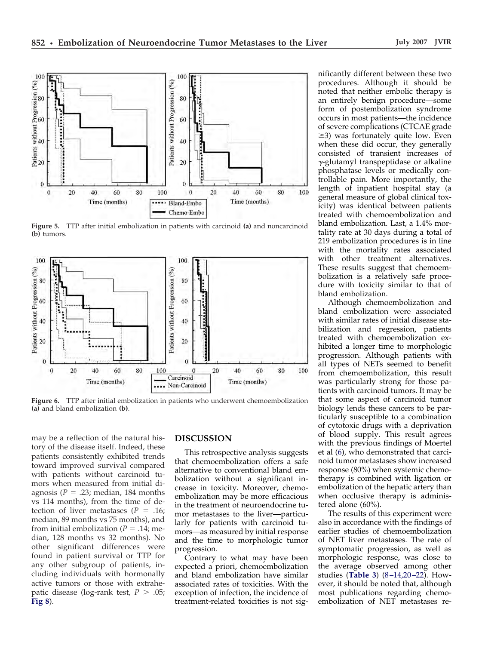<span id="page-5-0"></span>

**Figure 5.** TTP after initial embolization in patients with carcinoid **(a)** and noncarcinoid **(b)** tumors.



**Figure 6.** TTP after initial embolization in patients who underwent chemoembolization **(a)** and bland embolization **(b)**.

may be a reflection of the natural history of the disease itself. Indeed, these patients consistently exhibited trends toward improved survival compared with patients without carcinoid tumors when measured from initial diagnosis ( $P = .23$ ; median, 184 months vs 114 months), from the time of detection of liver metastases  $(P = .16)$ ; median, 89 months vs 75 months), and from initial embolization  $(P = .14)$ ; median, 128 months vs 32 months). No other significant differences were found in patient survival or TTP for any other subgroup of patients, including individuals with hormonally active tumors or those with extrahepatic disease (log-rank test,  $P > .05$ ; **[Fig 8](#page-6-0)**).

## **DISCUSSION**

This retrospective analysis suggests that chemoembolization offers a safe alternative to conventional bland embolization without a significant increase in toxicity. Moreover, chemoembolization may be more efficacious in the treatment of neuroendocrine tumor metastases to the liver—particularly for patients with carcinoid tumors—as measured by initial response and the time to morphologic tumor progression.

Contrary to what may have been expected a priori, chemoembolization and bland embolization have similar associated rates of toxicities. With the exception of infection, the incidence of treatment-related toxicities is not sig-

nificantly different between these two procedures. Although it should be noted that neither embolic therapy is an entirely benign procedure—some form of postembolization syndrome occurs in most patients—the incidence of severe complications (CTCAE grade ≥3) was fortunately quite low. Even when these did occur, they generally consisted of transient increases of  $\gamma$ -glutamyl transpeptidase or alkaline phosphatase levels or medically controllable pain. More importantly, the length of inpatient hospital stay (a general measure of global clinical toxicity) was identical between patients treated with chemoembolization and bland embolization. Last, a 1.4% mortality rate at 30 days during a total of 219 embolization procedures is in line with the mortality rates associated with other treatment alternatives. These results suggest that chemoembolization is a relatively safe procedure with toxicity similar to that of bland embolization.

Although chemoembolization and bland embolization were associated with similar rates of initial disease stabilization and regression, patients treated with chemoembolization exhibited a longer time to morphologic progression. Although patients with all types of NETs seemed to benefit from chemoembolization, this result was particularly strong for those patients with carcinoid tumors. It may be that some aspect of carcinoid tumor biology lends these cancers to be particularly susceptible to a combination of cytotoxic drugs with a deprivation of blood supply. This result agrees with the previous findings of Moertel et al [\(6\)](#page-7-0), who demonstrated that carcinoid tumor metastases show increased response (80%) when systemic chemotherapy is combined with ligation or embolization of the hepatic artery than when occlusive therapy is administered alone (60%).

The results of this experiment were also in accordance with the findings of earlier studies of chemoembolization of NET liver metastases. The rate of symptomatic progression, as well as morphologic response, was close to the average observed among other studies (**[Table 3](#page-7-0)**) [\(8 –14,20 –22\)](#page-7-0). However, it should be noted that, although most publications regarding chemoembolization of NET metastases re-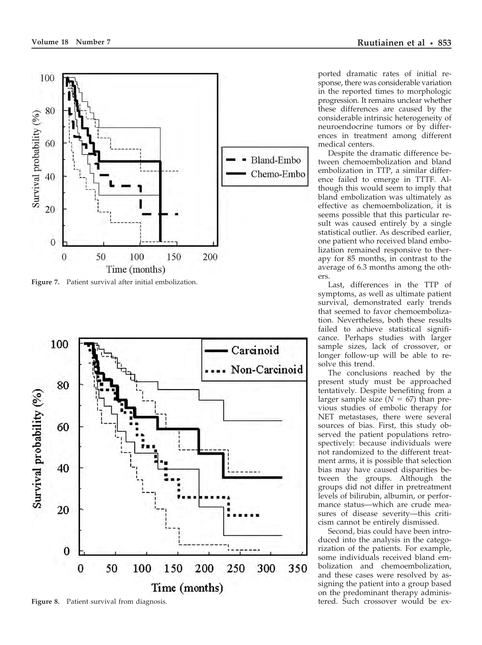<span id="page-6-0"></span>

**Figure 7.** Patient survival after initial embolization.



Figure 8. Patient survival from diagnosis.

ported dramatic rates of initial response, there was considerable variation in the reported times to morphologic progression. It remains unclear whether these differences are caused by the considerable intrinsic heterogeneity of neuroendocrine tumors or by differences in treatment among different medical centers.

Despite the dramatic difference between chemoembolization and bland embolization in TTP, a similar difference failed to emerge in TTTF. Although this would seem to imply that bland embolization was ultimately as effective as chemoembolization, it is seems possible that this particular result was caused entirely by a single statistical outlier. As described earlier, one patient who received bland embolization remained responsive to therapy for 85 months, in contrast to the average of 6.3 months among the others.

Last, differences in the TTP of symptoms, as well as ultimate patient survival, demonstrated early trends that seemed to favor chemoembolization. Nevertheless, both these results failed to achieve statistical significance. Perhaps studies with larger sample sizes, lack of crossover, or longer follow-up will be able to resolve this trend.

The conclusions reached by the present study must be approached tentatively. Despite benefiting from a larger sample size  $(N = 67)$  than previous studies of embolic therapy for NET metastases, there were several sources of bias. First, this study observed the patient populations retrospectively: because individuals were not randomized to the different treatment arms, it is possible that selection bias may have caused disparities between the groups. Although the groups did not differ in pretreatment levels of bilirubin, albumin, or performance status—which are crude measures of disease severity—this criticism cannot be entirely dismissed.

Second, bias could have been introduced into the analysis in the categorization of the patients. For example, some individuals received bland embolization and chemoembolization, and these cases were resolved by assigning the patient into a group based on the predominant therapy administered. Such crossover would be ex-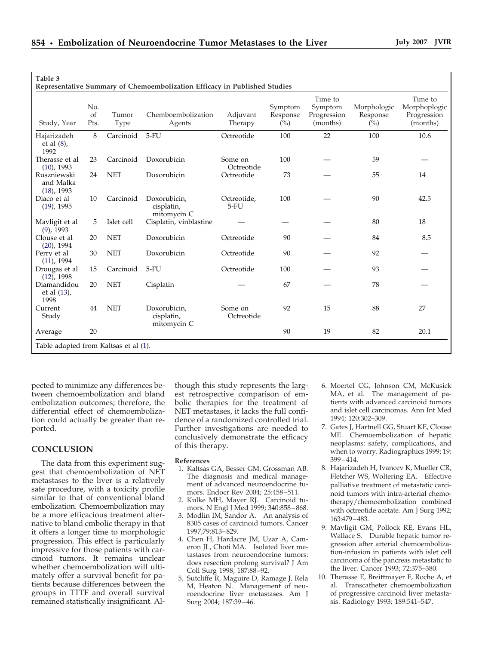<span id="page-7-0"></span>

| Study, Year                               | No.<br>of<br>Pts. | Tumor<br><b>Type</b> | Chemboembolization<br>Agents              | Adjuvant<br>Therapy   | Symptom<br>Response<br>$(\%)$ | Time to<br>Symptom<br>Progression<br>(months) | Morphologic<br>Response<br>$(\%)$ | Time to<br>Morphoplogic<br>Progression<br>(months) |
|-------------------------------------------|-------------------|----------------------|-------------------------------------------|-----------------------|-------------------------------|-----------------------------------------------|-----------------------------------|----------------------------------------------------|
| Hajarizadeh<br>et al $(8)$ ,<br>1992      | 8                 | Carcinoid            | $5-FU$                                    | Octreotide            | 100                           | 22                                            | 100                               | 10.6                                               |
| Therasse et al<br>$(10)$ , 1993           | 23                | Carcinoid            | Doxorubicin                               | Some on<br>Octreotide | 100                           |                                               | 59                                |                                                    |
| Ruszniewski<br>and Malka<br>$(18)$ , 1993 | 24                | <b>NET</b>           | Doxorubicin                               | Octreotide            | 73                            |                                               | 55                                | 14                                                 |
| Diaco et al<br>$(19)$ , 1995              | 10                | Carcinoid            | Doxorubicin.<br>cisplatin,<br>mitomycin C | Octreotide,<br>$5-FU$ | 100                           |                                               | 90                                | 42.5                                               |
| Mavligit et al<br>$(9)$ , 1993            | 5                 | Islet cell           | Cisplatin, vinblastine                    |                       |                               |                                               | 80                                | 18                                                 |
| Clouse et al<br>$(20)$ , 1994             | 20                | <b>NET</b>           | Doxorubicin                               | Octreotide            | 90                            |                                               | 84                                | 8.5                                                |
| Perry et al<br>$(11)$ , 1994              | 30                | <b>NET</b>           | Doxorubicin                               | Octreotide            | 90                            |                                               | 92                                |                                                    |
| Drougas et al<br>$(12)$ , 1998            | 15                | Carcinoid            | $5-FU$                                    | Octreotide            | 100                           |                                               | 93                                |                                                    |
| Diamandidou<br>et al $(13)$ ,<br>1998     | 20                | <b>NET</b>           | Cisplatin                                 |                       | 67                            |                                               | 78                                |                                                    |
| Current<br>Study                          | 44                | <b>NET</b>           | Doxorubicin,<br>cisplatin,<br>mitomycin C | Some on<br>Octreotide | 92                            | 15                                            | 88                                | 27                                                 |
| Average                                   | 20                |                      |                                           |                       | 90                            | 19                                            | 82                                | 20.1                                               |

pected to minimize any differences between chemoembolization and bland embolization outcomes; therefore, the differential effect of chemoembolization could actually be greater than reported.

# **CONCLUSION**

The data from this experiment suggest that chemoembolization of NET metastases to the liver is a relatively safe procedure, with a toxicity profile similar to that of conventional bland embolization. Chemoembolization may be a more efficacious treatment alternative to bland embolic therapy in that it offers a longer time to morphologic progression. This effect is particularly impressive for those patients with carcinoid tumors. It remains unclear whether chemoembolization will ultimately offer a survival benefit for patients because differences between the groups in TTTF and overall survival remained statistically insignificant. Al-

though this study represents the largest retrospective comparison of embolic therapies for the treatment of NET metastases, it lacks the full confidence of a randomized controlled trial. Further investigations are needed to conclusively demonstrate the efficacy of this therapy.

#### **References**

- 1. Kaltsas GA, Besser GM, Grossman AB. The diagnosis and medical management of advanced neuroendocrine tumors. Endocr Rev 2004; 25:458 –511.
- 2. Kulke MH, Mayer RJ. Carcinoid tumors. N Engl J Med 1999; 340:858 – 868.
- 3. Modlin IM, Sandor A. An analysis of 8305 cases of carcinoid tumors. Cancer 1997;79:813– 829.
- 4. Chen H, Hardacre JM, Uzar A, Cameron JL, Choti MA. Isolated liver metastases from neuroendocrine tumors: does resection prolong survival? J Am Coll Surg 1998; 187:88 –92.
- 5. Sutcliffe R, Maguire D, Ramage J, Rela M, Heaton N. Management of neuroendocrine liver metastases. Am J Surg 2004; 187:39 – 46.
- 6. Moertel CG, Johnson CM, McKusick MA, et al. The management of patients with advanced carcinoid tumors and islet cell carcinomas. Ann Int Med 1994; 120:302–309.
- 7. Gates J, Hartnell GG, Stuart KE, Clouse ME. Chemoembolization of hepatic neoplasms: safety, complications, and when to worry. Radiographics 1999; 19: 399 – 414.
- 8. Hajarizadeh H, Ivancev K, Mueller CR, Fletcher WS, Woltering EA. Effective palliative treatment of metastatic carcinoid tumors with intra-arterial chemotherapy/chemoembolization combined with octreotide acetate. Am J Surg 1992; 163:479 – 483.
- 9. Mavligit GM, Pollock RE, Evans HL, Wallace S. Durable hepatic tumor regression after arterial chemoembolization-infusion in patients with islet cell carcinoma of the pancreas metastatic to the liver. Cancer 1993; 72:375–380.
- 10. Therasse E, Breittmayer F, Roche A, et al. Transcatheter chemoembolization of progressive carcinoid liver metastasis. Radiology 1993; 189:541–547.